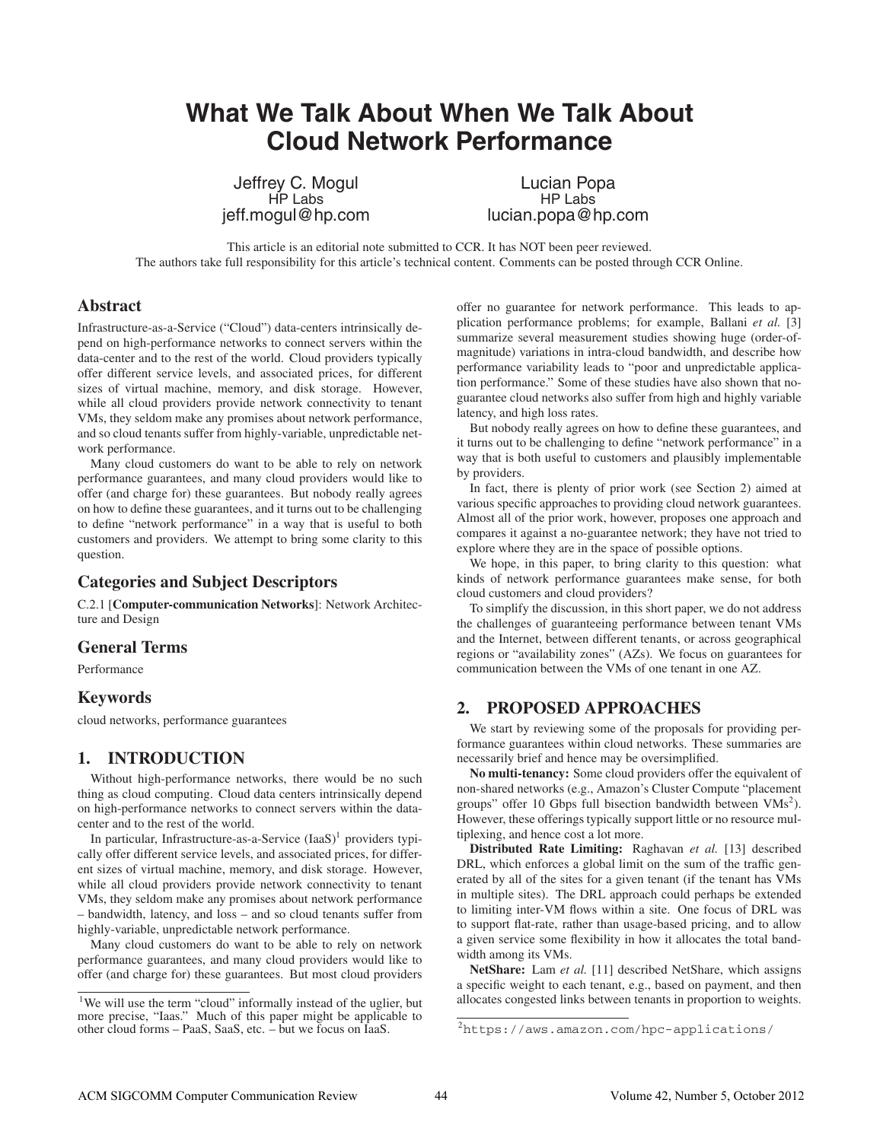# **What We Talk About When We Talk About Cloud Network Performance**

Jeffrey C. Mogul Lucian Popa<br>HP Labs HP Labs HP Labs

HP Labs jeff.mogul@hp.com lucian.popa@hp.com

This article is an editorial note submitted to CCR. It has NOT been peer reviewed. The authors take full responsibility for this article's technical content. Comments can be posted through CCR Online.

# **Abstract**

Infrastructure-as-a-Service ("Cloud") data-centers intrinsically depend on high-performance networks to connect servers within the data-center and to the rest of the world. Cloud providers typically offer different service levels, and associated prices, for different sizes of virtual machine, memory, and disk storage. However, while all cloud providers provide network connectivity to tenant VMs, they seldom make any promises about network performance, and so cloud tenants suffer from highly-variable, unpredictable network performance.

Many cloud customers do want to be able to rely on network performance guarantees, and many cloud providers would like to offer (and charge for) these guarantees. But nobody really agrees on how to define these guarantees, and it turns out to be challenging to define "network performance" in a way that is useful to both customers and providers. We attempt to bring some clarity to this question.

# **Categories and Subject Descriptors**

C.2.1 [**Computer-communication Networks**]: Network Architecture and Design

# **General Terms**

Performance

# **Keywords**

cloud networks, performance guarantees

# **1. INTRODUCTION**

Without high-performance networks, there would be no such thing as cloud computing. Cloud data centers intrinsically depend on high-performance networks to connect servers within the datacenter and to the rest of the world.

In particular, Infrastructure-as-a-Service  $(IaaS)^1$  providers typically offer different service levels, and associated prices, for different sizes of virtual machine, memory, and disk storage. However, while all cloud providers provide network connectivity to tenant VMs, they seldom make any promises about network performance – bandwidth, latency, and loss – and so cloud tenants suffer from highly-variable, unpredictable network performance.

Many cloud customers do want to be able to rely on network performance guarantees, and many cloud providers would like to offer (and charge for) these guarantees. But most cloud providers

offer no guarantee for network performance. This leads to application performance problems; for example, Ballani *et al.* [3] summarize several measurement studies showing huge (order-ofmagnitude) variations in intra-cloud bandwidth, and describe how performance variability leads to "poor and unpredictable application performance." Some of these studies have also shown that noguarantee cloud networks also suffer from high and highly variable latency, and high loss rates.

But nobody really agrees on how to define these guarantees, and it turns out to be challenging to define "network performance" in a way that is both useful to customers and plausibly implementable by providers.

In fact, there is plenty of prior work (see Section 2) aimed at various specific approaches to providing cloud network guarantees. Almost all of the prior work, however, proposes one approach and compares it against a no-guarantee network; they have not tried to explore where they are in the space of possible options.

We hope, in this paper, to bring clarity to this question: what kinds of network performance guarantees make sense, for both cloud customers and cloud providers?

To simplify the discussion, in this short paper, we do not address the challenges of guaranteeing performance between tenant VMs and the Internet, between different tenants, or across geographical regions or "availability zones" (AZs). We focus on guarantees for communication between the VMs of one tenant in one AZ.

# **2. PROPOSED APPROACHES**

We start by reviewing some of the proposals for providing performance guarantees within cloud networks. These summaries are necessarily brief and hence may be oversimplified.

**No multi-tenancy:** Some cloud providers offer the equivalent of non-shared networks (e.g., Amazon's Cluster Compute "placement groups" offer 10 Gbps full bisection bandwidth between VMs<sup>2</sup>). However, these offerings typically support little or no resource multiplexing, and hence cost a lot more.

**Distributed Rate Limiting:** Raghavan *et al.* [13] described DRL, which enforces a global limit on the sum of the traffic generated by all of the sites for a given tenant (if the tenant has VMs in multiple sites). The DRL approach could perhaps be extended to limiting inter-VM flows within a site. One focus of DRL was to support flat-rate, rather than usage-based pricing, and to allow a given service some flexibility in how it allocates the total bandwidth among its VMs.

**NetShare:** Lam *et al.* [11] described NetShare, which assigns a specific weight to each tenant, e.g., based on payment, and then allocates congested links between tenants in proportion to weights.

<sup>&</sup>lt;sup>1</sup>We will use the term "cloud" informally instead of the uglier, but more precise, "Iaas." Much of this paper might be applicable to other cloud forms – PaaS, SaaS, etc. – but we focus on IaaS.

<sup>2</sup> https://aws.amazon.com/hpc-applications/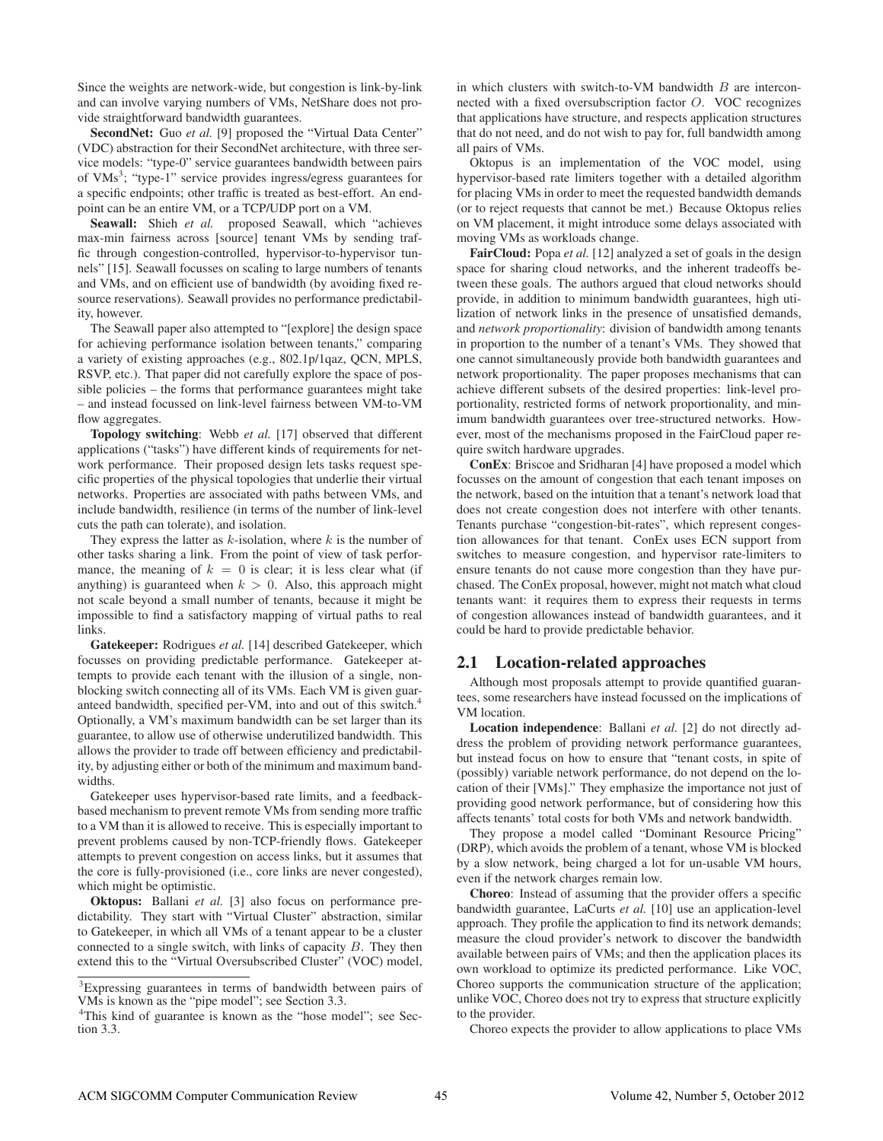Since the weights are network-wide, but congestion is link-by-link and can involve varying numbers of VMs, NetShare does not provide straightforward bandwidth guarantees.

**SecondNet:** Guo *et al.* [9] proposed the "Virtual Data Center" (VDC) abstraction for their SecondNet architecture, with three service models: "type-0" service guarantees bandwidth between pairs of VMs<sup>3</sup>; "type-1" service provides ingress/egress guarantees for a specific endpoints; other traffic is treated as best-effort. An endpoint can be an entire VM, or a TCP/UDP port on a VM.

**Seawall:** Shieh *et al.* proposed Seawall, which "achieves max-min fairness across [source] tenant VMs by sending traffic through congestion-controlled, hypervisor-to-hypervisor tunnels" [15]. Seawall focusses on scaling to large numbers of tenants and VMs, and on efficient use of bandwidth (by avoiding fixed resource reservations). Seawall provides no performance predictability, however.

The Seawall paper also attempted to "[explore] the design space for achieving performance isolation between tenants," comparing a variety of existing approaches (e.g., 802.1p/1qaz, QCN, MPLS, RSVP, etc.). That paper did not carefully explore the space of possible policies – the forms that performance guarantees might take – and instead focussed on link-level fairness between VM-to-VM flow aggregates.

**Topology switching**: Webb *et al.* [17] observed that different applications ("tasks") have different kinds of requirements for network performance. Their proposed design lets tasks request specific properties of the physical topologies that underlie their virtual networks. Properties are associated with paths between VMs, and include bandwidth, resilience (in terms of the number of link-level cuts the path can tolerate), and isolation.

They express the latter as *k*-isolation, where *k* is the number of other tasks sharing a link. From the point of view of task performance, the meaning of  $k = 0$  is clear; it is less clear what (if anything) is guaranteed when  $k > 0$ . Also, this approach might not scale beyond a small number of tenants, because it might be impossible to find a satisfactory mapping of virtual paths to real links.

**Gatekeeper:** Rodrigues *et al.* [14] described Gatekeeper, which focusses on providing predictable performance. Gatekeeper attempts to provide each tenant with the illusion of a single, nonblocking switch connecting all of its VMs. Each VM is given guaranteed bandwidth, specified per-VM, into and out of this switch.<sup>4</sup> Optionally, a VM's maximum bandwidth can be set larger than its guarantee, to allow use of otherwise underutilized bandwidth. This allows the provider to trade off between efficiency and predictability, by adjusting either or both of the minimum and maximum bandwidths.

Gatekeeper uses hypervisor-based rate limits, and a feedbackbased mechanism to prevent remote VMs from sending more traffic to a VM than it is allowed to receive. This is especially important to prevent problems caused by non-TCP-friendly flows. Gatekeeper attempts to prevent congestion on access links, but it assumes that the core is fully-provisioned (i.e., core links are never congested), which might be optimistic.

**Oktopus:** Ballani *et al.* [3] also focus on performance predictability. They start with "Virtual Cluster" abstraction, similar to Gatekeeper, in which all VMs of a tenant appear to be a cluster connected to a single switch, with links of capacity *B*. They then extend this to the "Virtual Oversubscribed Cluster" (VOC) model,

in which clusters with switch-to-VM bandwidth *B* are interconnected with a fixed oversubscription factor *O*. VOC recognizes that applications have structure, and respects application structures that do not need, and do not wish to pay for, full bandwidth among all pairs of VMs.

Oktopus is an implementation of the VOC model, using hypervisor-based rate limiters together with a detailed algorithm for placing VMs in order to meet the requested bandwidth demands (or to reject requests that cannot be met.) Because Oktopus relies on VM placement, it might introduce some delays associated with moving VMs as workloads change.

**FairCloud:** Popa *et al.* [12] analyzed a set of goals in the design space for sharing cloud networks, and the inherent tradeoffs between these goals. The authors argued that cloud networks should provide, in addition to minimum bandwidth guarantees, high utilization of network links in the presence of unsatisfied demands, and *network proportionality*: division of bandwidth among tenants in proportion to the number of a tenant's VMs. They showed that one cannot simultaneously provide both bandwidth guarantees and network proportionality. The paper proposes mechanisms that can achieve different subsets of the desired properties: link-level proportionality, restricted forms of network proportionality, and minimum bandwidth guarantees over tree-structured networks. However, most of the mechanisms proposed in the FairCloud paper require switch hardware upgrades.

**ConEx**: Briscoe and Sridharan [4] have proposed a model which focusses on the amount of congestion that each tenant imposes on the network, based on the intuition that a tenant's network load that does not create congestion does not interfere with other tenants. Tenants purchase "congestion-bit-rates", which represent congestion allowances for that tenant. ConEx uses ECN support from switches to measure congestion, and hypervisor rate-limiters to ensure tenants do not cause more congestion than they have purchased. The ConEx proposal, however, might not match what cloud tenants want: it requires them to express their requests in terms of congestion allowances instead of bandwidth guarantees, and it could be hard to provide predictable behavior.

# **2.1 Location-related approaches**

Although most proposals attempt to provide quantified guarantees, some researchers have instead focussed on the implications of VM location.

**Location independence**: Ballani *et al.* [2] do not directly address the problem of providing network performance guarantees, but instead focus on how to ensure that "tenant costs, in spite of (possibly) variable network performance, do not depend on the location of their [VMs]." They emphasize the importance not just of providing good network performance, but of considering how this affects tenants' total costs for both VMs and network bandwidth.

They propose a model called "Dominant Resource Pricing" (DRP), which avoids the problem of a tenant, whose VM is blocked by a slow network, being charged a lot for un-usable VM hours, even if the network charges remain low.

**Choreo**: Instead of assuming that the provider offers a specific bandwidth guarantee, LaCurts *et al.* [10] use an application-level approach. They profile the application to find its network demands; measure the cloud provider's network to discover the bandwidth available between pairs of VMs; and then the application places its own workload to optimize its predicted performance. Like VOC, Choreo supports the communication structure of the application; unlike VOC, Choreo does not try to express that structure explicitly to the provider.

Choreo expects the provider to allow applications to place VMs

<sup>&</sup>lt;sup>3</sup>Expressing guarantees in terms of bandwidth between pairs of VMs is known as the "pipe model"; see Section 3.3.

<sup>&</sup>lt;sup>4</sup>This kind of guarantee is known as the "hose model"; see Section 3.3.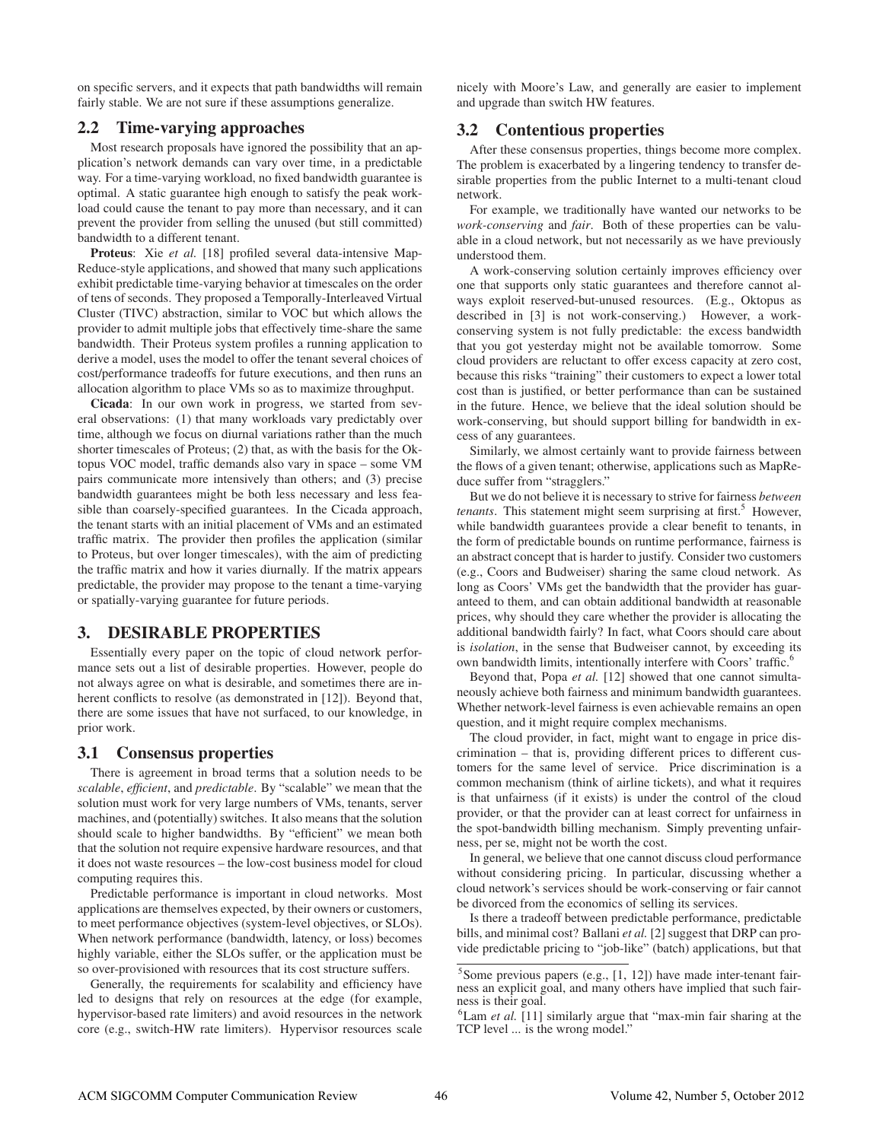on specific servers, and it expects that path bandwidths will remain fairly stable. We are not sure if these assumptions generalize.

#### **2.2 Time-varying approaches**

Most research proposals have ignored the possibility that an application's network demands can vary over time, in a predictable way. For a time-varying workload, no fixed bandwidth guarantee is optimal. A static guarantee high enough to satisfy the peak workload could cause the tenant to pay more than necessary, and it can prevent the provider from selling the unused (but still committed) bandwidth to a different tenant.

**Proteus**: Xie *et al.* [18] profiled several data-intensive Map-Reduce-style applications, and showed that many such applications exhibit predictable time-varying behavior at timescales on the order of tens of seconds. They proposed a Temporally-Interleaved Virtual Cluster (TIVC) abstraction, similar to VOC but which allows the provider to admit multiple jobs that effectively time-share the same bandwidth. Their Proteus system profiles a running application to derive a model, uses the model to offer the tenant several choices of cost/performance tradeoffs for future executions, and then runs an allocation algorithm to place VMs so as to maximize throughput.

**Cicada**: In our own work in progress, we started from several observations: (1) that many workloads vary predictably over time, although we focus on diurnal variations rather than the much shorter timescales of Proteus; (2) that, as with the basis for the Oktopus VOC model, traffic demands also vary in space – some VM pairs communicate more intensively than others; and (3) precise bandwidth guarantees might be both less necessary and less feasible than coarsely-specified guarantees. In the Cicada approach, the tenant starts with an initial placement of VMs and an estimated traffic matrix. The provider then profiles the application (similar to Proteus, but over longer timescales), with the aim of predicting the traffic matrix and how it varies diurnally. If the matrix appears predictable, the provider may propose to the tenant a time-varying or spatially-varying guarantee for future periods.

#### **3. DESIRABLE PROPERTIES**

Essentially every paper on the topic of cloud network performance sets out a list of desirable properties. However, people do not always agree on what is desirable, and sometimes there are inherent conflicts to resolve (as demonstrated in [12]). Beyond that, there are some issues that have not surfaced, to our knowledge, in prior work.

#### **3.1 Consensus properties**

There is agreement in broad terms that a solution needs to be *scalable*, *efficient*, and *predictable*. By "scalable" we mean that the solution must work for very large numbers of VMs, tenants, server machines, and (potentially) switches. It also means that the solution should scale to higher bandwidths. By "efficient" we mean both that the solution not require expensive hardware resources, and that it does not waste resources – the low-cost business model for cloud computing requires this.

Predictable performance is important in cloud networks. Most applications are themselves expected, by their owners or customers, to meet performance objectives (system-level objectives, or SLOs). When network performance (bandwidth, latency, or loss) becomes highly variable, either the SLOs suffer, or the application must be so over-provisioned with resources that its cost structure suffers.

Generally, the requirements for scalability and efficiency have led to designs that rely on resources at the edge (for example, hypervisor-based rate limiters) and avoid resources in the network core (e.g., switch-HW rate limiters). Hypervisor resources scale nicely with Moore's Law, and generally are easier to implement and upgrade than switch HW features.

#### **3.2 Contentious properties**

After these consensus properties, things become more complex. The problem is exacerbated by a lingering tendency to transfer desirable properties from the public Internet to a multi-tenant cloud network.

For example, we traditionally have wanted our networks to be *work-conserving* and *fair*. Both of these properties can be valuable in a cloud network, but not necessarily as we have previously understood them.

A work-conserving solution certainly improves efficiency over one that supports only static guarantees and therefore cannot always exploit reserved-but-unused resources. (E.g., Oktopus as described in [3] is not work-conserving.) However, a workconserving system is not fully predictable: the excess bandwidth that you got yesterday might not be available tomorrow. Some cloud providers are reluctant to offer excess capacity at zero cost, because this risks "training" their customers to expect a lower total cost than is justified, or better performance than can be sustained in the future. Hence, we believe that the ideal solution should be work-conserving, but should support billing for bandwidth in excess of any guarantees.

Similarly, we almost certainly want to provide fairness between the flows of a given tenant; otherwise, applications such as MapReduce suffer from "stragglers."

But we do not believe it is necessary to strive for fairness *between tenants*. This statement might seem surprising at first.<sup>5</sup> However, while bandwidth guarantees provide a clear benefit to tenants, in the form of predictable bounds on runtime performance, fairness is an abstract concept that is harder to justify. Consider two customers (e.g., Coors and Budweiser) sharing the same cloud network. As long as Coors' VMs get the bandwidth that the provider has guaranteed to them, and can obtain additional bandwidth at reasonable prices, why should they care whether the provider is allocating the additional bandwidth fairly? In fact, what Coors should care about is *isolation*, in the sense that Budweiser cannot, by exceeding its own bandwidth limits, intentionally interfere with Coors' traffic.<sup>6</sup>

Beyond that, Popa *et al.* [12] showed that one cannot simultaneously achieve both fairness and minimum bandwidth guarantees. Whether network-level fairness is even achievable remains an open question, and it might require complex mechanisms.

The cloud provider, in fact, might want to engage in price discrimination – that is, providing different prices to different customers for the same level of service. Price discrimination is a common mechanism (think of airline tickets), and what it requires is that unfairness (if it exists) is under the control of the cloud provider, or that the provider can at least correct for unfairness in the spot-bandwidth billing mechanism. Simply preventing unfairness, per se, might not be worth the cost.

In general, we believe that one cannot discuss cloud performance without considering pricing. In particular, discussing whether a cloud network's services should be work-conserving or fair cannot be divorced from the economics of selling its services.

Is there a tradeoff between predictable performance, predictable bills, and minimal cost? Ballani *et al.* [2] suggest that DRP can provide predictable pricing to "job-like" (batch) applications, but that

<sup>&</sup>lt;sup>5</sup>Some previous papers (e.g., [1, 12]) have made inter-tenant fairness an explicit goal, and many others have implied that such fairness is their goal.

<sup>&</sup>lt;sup>6</sup>Lam *et al.* [11] similarly argue that "max-min fair sharing at the TCP level ... is the wrong model."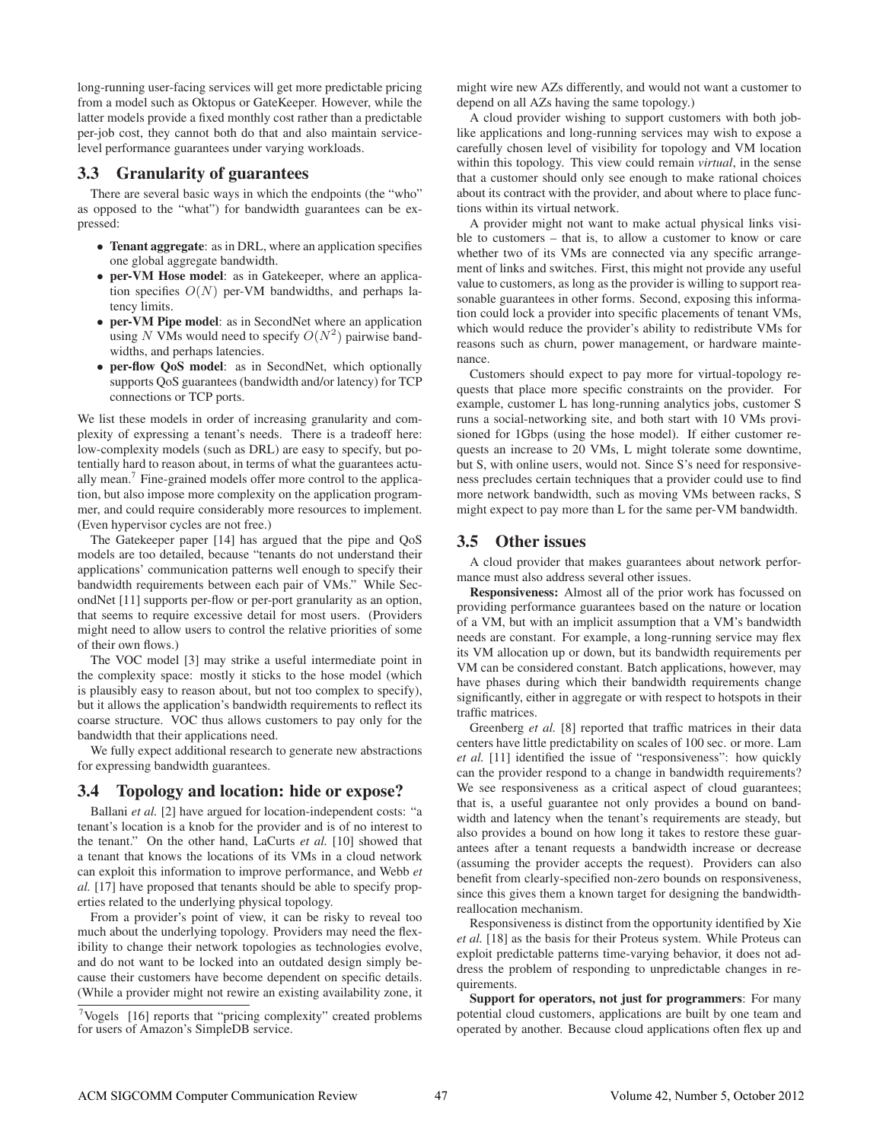long-running user-facing services will get more predictable pricing from a model such as Oktopus or GateKeeper. However, while the latter models provide a fixed monthly cost rather than a predictable per-job cost, they cannot both do that and also maintain servicelevel performance guarantees under varying workloads.

## **3.3 Granularity of guarantees**

There are several basic ways in which the endpoints (the "who" as opposed to the "what") for bandwidth guarantees can be expressed:

- *•* **Tenant aggregate**: as in DRL, where an application specifies one global aggregate bandwidth.
- *•* **per-VM Hose model**: as in Gatekeeper, where an application specifies *O*(*N*) per-VM bandwidths, and perhaps latency limits.
- *•* **per-VM Pipe model**: as in SecondNet where an application using *N* VMs would need to specify *O*(*N*<sup>2</sup>) pairwise bandwidths, and perhaps latencies.
- *•* **per-flow QoS model**: as in SecondNet, which optionally supports QoS guarantees (bandwidth and/or latency) for TCP connections or TCP ports.

We list these models in order of increasing granularity and complexity of expressing a tenant's needs. There is a tradeoff here: low-complexity models (such as DRL) are easy to specify, but potentially hard to reason about, in terms of what the guarantees actually mean.<sup>7</sup> Fine-grained models offer more control to the application, but also impose more complexity on the application programmer, and could require considerably more resources to implement. (Even hypervisor cycles are not free.)

The Gatekeeper paper [14] has argued that the pipe and QoS models are too detailed, because "tenants do not understand their applications' communication patterns well enough to specify their bandwidth requirements between each pair of VMs." While SecondNet [11] supports per-flow or per-port granularity as an option, that seems to require excessive detail for most users. (Providers might need to allow users to control the relative priorities of some of their own flows.)

The VOC model [3] may strike a useful intermediate point in the complexity space: mostly it sticks to the hose model (which is plausibly easy to reason about, but not too complex to specify), but it allows the application's bandwidth requirements to reflect its coarse structure. VOC thus allows customers to pay only for the bandwidth that their applications need.

We fully expect additional research to generate new abstractions for expressing bandwidth guarantees.

#### **3.4 Topology and location: hide or expose?**

Ballani *et al.* [2] have argued for location-independent costs: "a tenant's location is a knob for the provider and is of no interest to the tenant." On the other hand, LaCurts *et al.* [10] showed that a tenant that knows the locations of its VMs in a cloud network can exploit this information to improve performance, and Webb *et al.* [17] have proposed that tenants should be able to specify properties related to the underlying physical topology.

From a provider's point of view, it can be risky to reveal too much about the underlying topology. Providers may need the flexibility to change their network topologies as technologies evolve, and do not want to be locked into an outdated design simply because their customers have become dependent on specific details. (While a provider might not rewire an existing availability zone, it

might wire new AZs differently, and would not want a customer to depend on all AZs having the same topology.)

A cloud provider wishing to support customers with both joblike applications and long-running services may wish to expose a carefully chosen level of visibility for topology and VM location within this topology. This view could remain *virtual*, in the sense that a customer should only see enough to make rational choices about its contract with the provider, and about where to place functions within its virtual network.

A provider might not want to make actual physical links visible to customers – that is, to allow a customer to know or care whether two of its VMs are connected via any specific arrangement of links and switches. First, this might not provide any useful value to customers, as long as the provider is willing to support reasonable guarantees in other forms. Second, exposing this information could lock a provider into specific placements of tenant VMs, which would reduce the provider's ability to redistribute VMs for reasons such as churn, power management, or hardware maintenance.

Customers should expect to pay more for virtual-topology requests that place more specific constraints on the provider. For example, customer L has long-running analytics jobs, customer S runs a social-networking site, and both start with 10 VMs provisioned for 1Gbps (using the hose model). If either customer requests an increase to 20 VMs, L might tolerate some downtime, but S, with online users, would not. Since S's need for responsiveness precludes certain techniques that a provider could use to find more network bandwidth, such as moving VMs between racks, S might expect to pay more than L for the same per-VM bandwidth.

#### **3.5 Other issues**

A cloud provider that makes guarantees about network performance must also address several other issues.

**Responsiveness:** Almost all of the prior work has focussed on providing performance guarantees based on the nature or location of a VM, but with an implicit assumption that a VM's bandwidth needs are constant. For example, a long-running service may flex its VM allocation up or down, but its bandwidth requirements per VM can be considered constant. Batch applications, however, may have phases during which their bandwidth requirements change significantly, either in aggregate or with respect to hotspots in their traffic matrices.

Greenberg *et al.* [8] reported that traffic matrices in their data centers have little predictability on scales of 100 sec. or more. Lam *et al.* [11] identified the issue of "responsiveness": how quickly can the provider respond to a change in bandwidth requirements? We see responsiveness as a critical aspect of cloud guarantees; that is, a useful guarantee not only provides a bound on bandwidth and latency when the tenant's requirements are steady, but also provides a bound on how long it takes to restore these guarantees after a tenant requests a bandwidth increase or decrease (assuming the provider accepts the request). Providers can also benefit from clearly-specified non-zero bounds on responsiveness, since this gives them a known target for designing the bandwidthreallocation mechanism.

Responsiveness is distinct from the opportunity identified by Xie *et al.* [18] as the basis for their Proteus system. While Proteus can exploit predictable patterns time-varying behavior, it does not address the problem of responding to unpredictable changes in requirements.

**Support for operators, not just for programmers**: For many potential cloud customers, applications are built by one team and operated by another. Because cloud applications often flex up and

 $7$ Vogels [16] reports that "pricing complexity" created problems for users of Amazon's SimpleDB service.